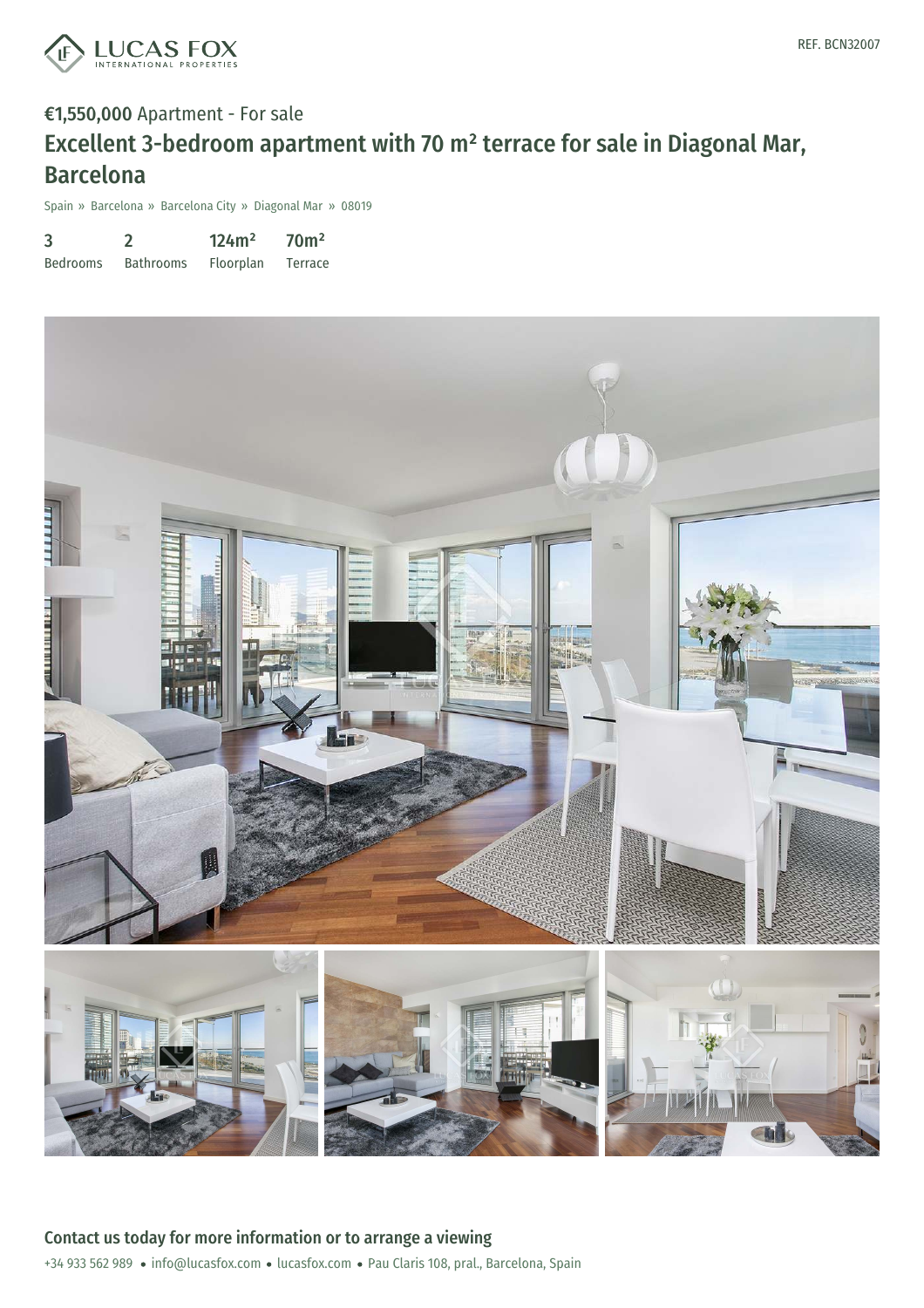

## €1,550,000 Apartment - For sale Excellent 3-bedroom apartment with 70 m² terrace for sale in Diagonal Mar, Barcelona

Spain » Barcelona » Barcelona City » Diagonal Mar » 08019

| 3               |                  | 124m <sup>2</sup> | 70 <sup>m²</sup> |
|-----------------|------------------|-------------------|------------------|
| <b>Bedrooms</b> | <b>Bathrooms</b> | Floorplan         | Terrace          |

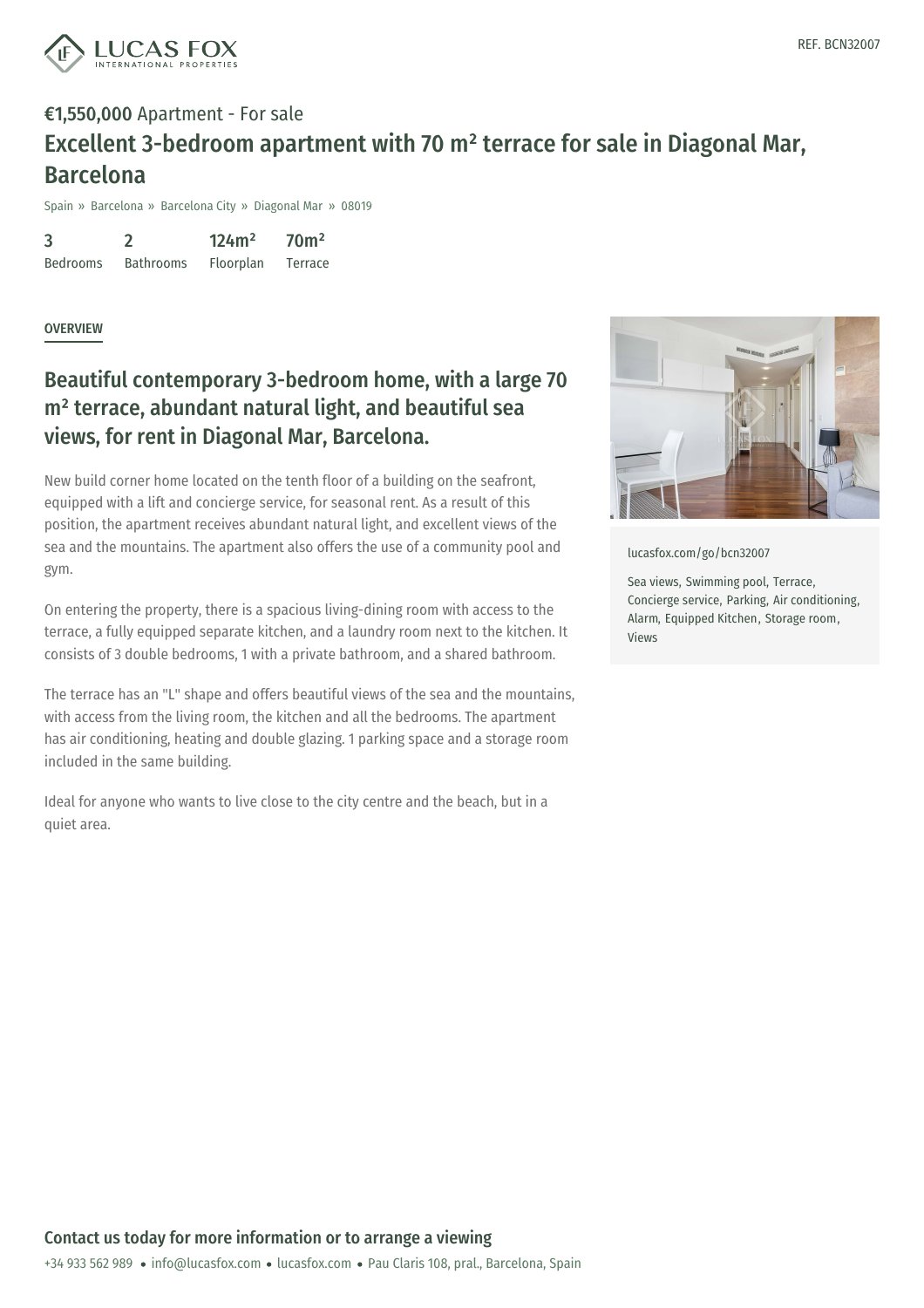

## €1,550,000 Apartment - For sale Excellent 3-bedroom apartment with 70 m² terrace for sale in Diagonal Mar, Barcelona

Spain » Barcelona » Barcelona City » Diagonal Mar » 08019

3 Bedrooms 2 Bathrooms 124m² Floorplan 70m² Terrace

**OVERVIEW** 

## Beautiful contemporary 3-bedroom home, with a large 70 m² terrace, abundant natural light, and beautiful sea views, for rent in Diagonal Mar, Barcelona.

New build corner home located on the tenth floor of a building on the seafront, equipped with a lift and concierge service, for seasonal rent. As a result of this position, the apartment receives abundant natural light, and excellent views of the sea and the mountains. The apartment also offers the use of a community pool and gym.

On entering the property, there is a spacious living-dining room with access to the terrace, a fully equipped separate kitchen, and a laundry room next to the kitchen. It consists of 3 double bedrooms, 1 with a private bathroom, and a shared bathroom.

The terrace has an "L" shape and offers beautiful views of the sea and the mountains, with access from the living room, the kitchen and all the bedrooms. The apartment has air conditioning, heating and double glazing. 1 parking space and a storage room included in the same building.

Ideal for anyone who wants to live close to the city centre and the beach, but in a quiet area.



[lucasfox.com/go/bcn32007](https://www.lucasfox.com/go/bcn32007)

Sea views, Swimming pool, Terrace, Concierge service, Parking, Air conditioning, Alarm, Equipped Kitchen, Storage room, Views